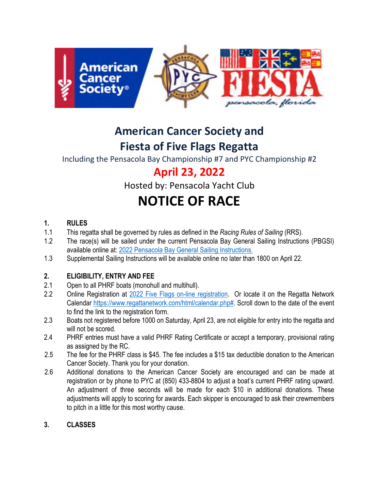

# **American Cancer Society and Fiesta of Five Flags Regatta**

Including the Pensacola Bay Championship #7 and PYC Championship #2

# **April 23, 2022**

Hosted by: Pensacola Yacht Club

# **NOTICE OF RACE**

# **1. RULES**

- 1.1 This regatta shall be governed by rules as defined in the *Racing Rules of Sailing* (RRS).
- 1.2 The race(s) will be sailed under the current Pensacola Bay General Sailing Instructions (PBGSI) available online at: [2022 Pensacola Bay General Sailing Instructions.](https://www.pensacolayachtclub.org/getmedia/272a4ba8-8482-4a10-9bf4-f7bfaa799972/P_Bay_Gen_SI_s_2022_1-31-22_final.aspx)
- 1.3 Supplemental Sailing Instructions will be available online no later than 1800 on April 22.

# **2. ELIGIBILITY, ENTRY AND FEE**

- 2.1 Open to all PHRF boats (monohull and multihull).
- 2.2 Online Registration at [2022 Five Flags on-line registration.](https://www.regattanetwork.com/clubmgmt/applet_registration_form.php?regatta_id=24504) Or locate it on the Regatta Network Calendar [https://www.regattanetwork.com/html/calendar.php#.](https://www.regattanetwork.com/html/calendar.php) Scroll down to the date of the event to find the link to the registration form.
- 2.3 Boats not registered before 1000 on Saturday, April 23, are not eligible for entry into the regatta and will not be scored.
- 2.4 PHRF entries must have a valid PHRF Rating Certificate or accept a temporary, provisional rating as assigned by the RC.
- 2.5 The fee for the PHRF class is \$45. The fee includes a \$15 tax deductible donation to the American Cancer Society. Thank you for your donation.
- 2.6 Additional donations to the American Cancer Society are encouraged and can be made at registration or by phone to PYC at (850) 433-8804 to adjust a boat's current PHRF rating upward. An adjustment of three seconds will be made for each \$10 in additional donations. These adjustments will apply to scoring for awards. Each skipper is encouraged to ask their crewmembers to pitch in a little for this most worthy cause.

# **3. CLASSES**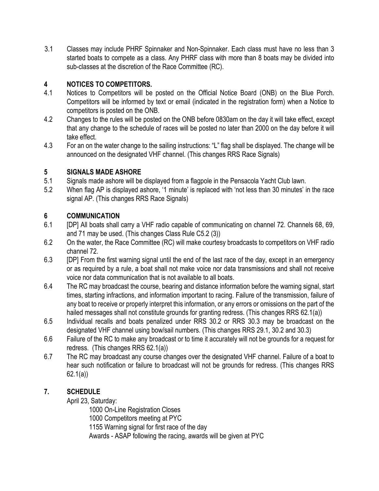3.1 Classes may include PHRF Spinnaker and Non-Spinnaker. Each class must have no less than 3 started boats to compete as a class. Any PHRF class with more than 8 boats may be divided into sub-classes at the discretion of the Race Committee (RC).

#### **4 NOTICES TO COMPETITORS.**

- 4.1 Notices to Competitors will be posted on the Official Notice Board (ONB) on the Blue Porch. Competitors will be informed by text or email (indicated in the registration form) when a Notice to competitors is posted on the ONB.
- 4.2 Changes to the rules will be posted on the ONB before 0830am on the day it will take effect, except that any change to the schedule of races will be posted no later than 2000 on the day before it will take effect.
- 4.3 For an on the water change to the sailing instructions: "L" flag shall be displayed. The change will be announced on the designated VHF channel. (This changes RRS Race Signals)

#### **5 SIGNALS MADE ASHORE**

- 5.1 Signals made ashore will be displayed from a flagpole in the Pensacola Yacht Club lawn.
- 5.2 When flag AP is displayed ashore, '1 minute' is replaced with 'not less than 30 minutes' in the race signal AP. (This changes RRS Race Signals)

#### **6 COMMUNICATION**

- 6.1 [DP] All boats shall carry a VHF radio capable of communicating on channel 72. Channels 68, 69, and 71 may be used. (This changes Class Rule C5.2 (3))
- 6.2 On the water, the Race Committee (RC) will make courtesy broadcasts to competitors on VHF radio channel 72.
- 6.3 [DP] From the first warning signal until the end of the last race of the day, except in an emergency or as required by a rule, a boat shall not make voice nor data transmissions and shall not receive voice nor data communication that is not available to all boats.
- 6.4 The RC may broadcast the course, bearing and distance information before the warning signal, start times, starting infractions, and information important to racing. Failure of the transmission, failure of any boat to receive or properly interpret this information, or any errors or omissions on the part of the hailed messages shall not constitute grounds for granting redress. (This changes RRS 62.1(a))
- 6.5 Individual recalls and boats penalized under RRS 30.2 or RRS 30.3 may be broadcast on the designated VHF channel using bow/sail numbers. (This changes RRS 29.1, 30.2 and 30.3)
- 6.6 Failure of the RC to make any broadcast or to time it accurately will not be grounds for a request for redress. (This changes RRS 62.1(a))
- 6.7 The RC may broadcast any course changes over the designated VHF channel. Failure of a boat to hear such notification or failure to broadcast will not be grounds for redress. (This changes RRS 62.1(a))

# **7. SCHEDULE**

April 23, Saturday:

1000 On-Line Registration Closes 1000 Competitors meeting at PYC 1155 Warning signal for first race of the day Awards - ASAP following the racing, awards will be given at PYC